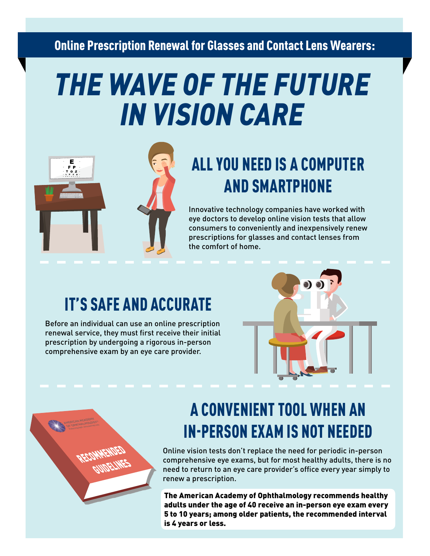#### Online Prescription Renewal for Glasses and Contact Lens Wearers:

# *THE WAVE OF THE FUTURE IN VISION CARE*



#### ALL YOU NEED IS A COMPUTER AND SMARTPHONE

Innovative technology companies have worked with eye doctors to develop online vision tests that allow consumers to conveniently and inexpensively renew prescriptions for glasses and contact lenses from the comfort of home.

#### IT'S SAFE AND ACCURATE

Before an individual can use an online prescription renewal service, they must first receive their initial prescription by undergoing a rigorous in-person comprehensive exam by an eye care provider.





#### A CONVENIENT TOOL WHEN AN IN-PERSON EXAM IS NOT NEEDED

Online vision tests don't replace the need for periodic in-person comprehensive eye exams, but for most healthy adults, there is no need to return to an eye care provider's office every year simply to renew a prescription.

The American Academy of Ophthalmology recommends healthy adults under the age of 40 receive an in-person eye exam every 5 to 10 years; among older patients, the recommended interval is 4 years or less.